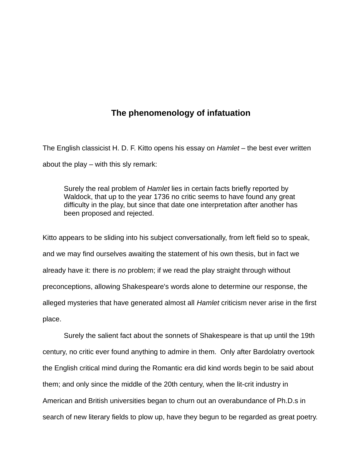# **The phenomenology of infatuation**

The English classicist H. D. F. Kitto opens his essay on *Hamlet* – the best ever written about the play – with this sly remark:

Surely the real problem of *Hamlet* lies in certain facts briefly reported by Waldock, that up to the year 1736 no critic seems to have found any great difficulty in the play, but since that date one interpretation after another has been proposed and rejected.

Kitto appears to be sliding into his subject conversationally, from left field so to speak, and we may find ourselves awaiting the statement of his own thesis, but in fact we already have it: there is *no* problem; if we read the play straight through without preconceptions, allowing Shakespeare's words alone to determine our response, the alleged mysteries that have generated almost all *Hamlet* criticism never arise in the first place.

Surely the salient fact about the sonnets of Shakespeare is that up until the 19th century, no critic ever found anything to admire in them. Only after Bardolatry overtook the English critical mind during the Romantic era did kind words begin to be said about them; and only since the middle of the 20th century, when the lit-crit industry in American and British universities began to churn out an overabundance of Ph.D.s in search of new literary fields to plow up, have they begun to be regarded as great poetry.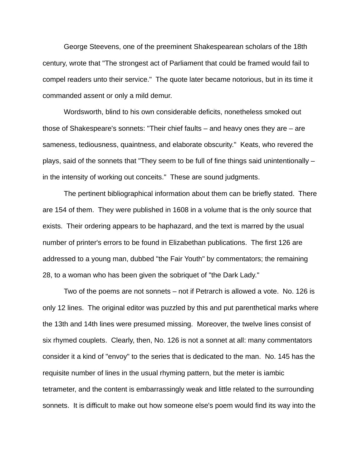George Steevens, one of the preeminent Shakespearean scholars of the 18th century, wrote that "The strongest act of Parliament that could be framed would fail to compel readers unto their service." The quote later became notorious, but in its time it commanded assent or only a mild demur.

Wordsworth, blind to his own considerable deficits, nonetheless smoked out those of Shakespeare's sonnets: "Their chief faults – and heavy ones they are – are sameness, tediousness, quaintness, and elaborate obscurity." Keats, who revered the plays, said of the sonnets that "They seem to be full of fine things said unintentionally – in the intensity of working out conceits." These are sound judgments.

The pertinent bibliographical information about them can be briefly stated. There are 154 of them. They were published in 1608 in a volume that is the only source that exists. Their ordering appears to be haphazard, and the text is marred by the usual number of printer's errors to be found in Elizabethan publications. The first 126 are addressed to a young man, dubbed "the Fair Youth" by commentators; the remaining 28, to a woman who has been given the sobriquet of "the Dark Lady."

Two of the poems are not sonnets – not if Petrarch is allowed a vote. No. 126 is only 12 lines. The original editor was puzzled by this and put parenthetical marks where the 13th and 14th lines were presumed missing. Moreover, the twelve lines consist of six rhymed couplets. Clearly, then, No. 126 is not a sonnet at all: many commentators consider it a kind of "envoy" to the series that is dedicated to the man. No. 145 has the requisite number of lines in the usual rhyming pattern, but the meter is iambic tetrameter, and the content is embarrassingly weak and little related to the surrounding sonnets. It is difficult to make out how someone else's poem would find its way into the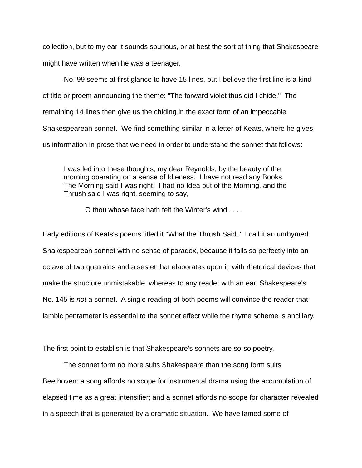collection, but to my ear it sounds spurious, or at best the sort of thing that Shakespeare might have written when he was a teenager.

No. 99 seems at first glance to have 15 lines, but I believe the first line is a kind of title or proem announcing the theme: "The forward violet thus did I chide." The remaining 14 lines then give us the chiding in the exact form of an impeccable Shakespearean sonnet. We find something similar in a letter of Keats, where he gives us information in prose that we need in order to understand the sonnet that follows:

I was led into these thoughts, my dear Reynolds, by the beauty of the morning operating on a sense of Idleness. I have not read any Books. The Morning said I was right. I had no Idea but of the Morning, and the Thrush said I was right, seeming to say,

O thou whose face hath felt the Winter's wind . . . .

Early editions of Keats's poems titled it "What the Thrush Said." I call it an unrhymed Shakespearean sonnet with no sense of paradox, because it falls so perfectly into an octave of two quatrains and a sestet that elaborates upon it, with rhetorical devices that make the structure unmistakable, whereas to any reader with an ear, Shakespeare's No. 145 is *not* a sonnet. A single reading of both poems will convince the reader that iambic pentameter is essential to the sonnet effect while the rhyme scheme is ancillary.

The first point to establish is that Shakespeare's sonnets are so-so poetry.

The sonnet form no more suits Shakespeare than the song form suits Beethoven: a song affords no scope for instrumental drama using the accumulation of elapsed time as a great intensifier; and a sonnet affords no scope for character revealed in a speech that is generated by a dramatic situation. We have lamed some of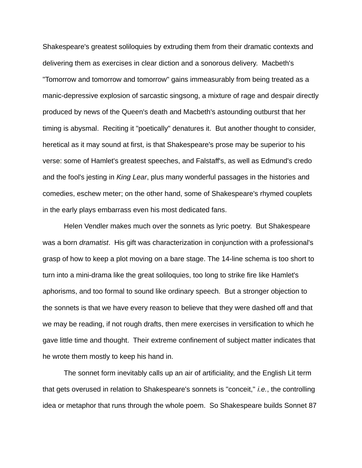Shakespeare's greatest soliloquies by extruding them from their dramatic contexts and delivering them as exercises in clear diction and a sonorous delivery. Macbeth's "Tomorrow and tomorrow and tomorrow" gains immeasurably from being treated as a manic-depressive explosion of sarcastic singsong, a mixture of rage and despair directly produced by news of the Queen's death and Macbeth's astounding outburst that her timing is abysmal. Reciting it "poetically" denatures it. But another thought to consider, heretical as it may sound at first, is that Shakespeare's prose may be superior to his verse: some of Hamlet's greatest speeches, and Falstaff's, as well as Edmund's credo and the fool's jesting in *King Lear*, plus many wonderful passages in the histories and comedies, eschew meter; on the other hand, some of Shakespeare's rhymed couplets in the early plays embarrass even his most dedicated fans.

Helen Vendler makes much over the sonnets as lyric poetry. But Shakespeare was a born *dramatist*. His gift was characterization in conjunction with a professional's grasp of how to keep a plot moving on a bare stage. The 14-line schema is too short to turn into a mini-drama like the great soliloquies, too long to strike fire like Hamlet's aphorisms, and too formal to sound like ordinary speech. But a stronger objection to the sonnets is that we have every reason to believe that they were dashed off and that we may be reading, if not rough drafts, then mere exercises in versification to which he gave little time and thought. Their extreme confinement of subject matter indicates that he wrote them mostly to keep his hand in.

The sonnet form inevitably calls up an air of artificiality, and the English Lit term that gets overused in relation to Shakespeare's sonnets is "conceit," *i.e.*, the controlling idea or metaphor that runs through the whole poem. So Shakespeare builds Sonnet 87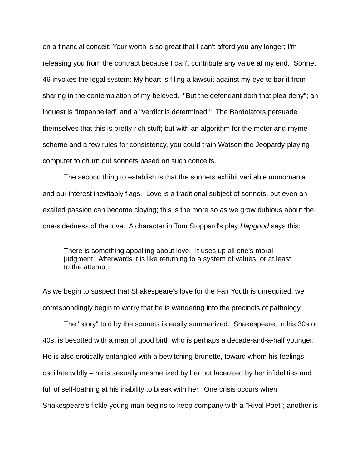on a financial conceit: Your worth is so great that I can't afford you any longer; I'm releasing you from the contract because I can't contribute any value at my end. Sonnet 46 invokes the legal system: My heart is filing a lawsuit against my eye to bar it from sharing in the contemplation of my beloved. "But the defendant doth that plea deny"; an inquest is "impannelled" and a "verdict is determined." The Bardolators persuade themselves that this is pretty rich stuff; but with an algorithm for the meter and rhyme scheme and a few rules for consistency, you could train Watson the Jeopardy-playing computer to churn out sonnets based on such conceits.

The second thing to establish is that the sonnets exhibit veritable monomania and our interest inevitably flags. Love is a traditional subject of sonnets, but even an exalted passion can become cloying; this is the more so as we grow dubious about the one-sidedness of the love. A character in Tom Stoppard's play *Hapgood* says this:

There is something appalling about love. It uses up all one's moral judgment. Afterwards it is like returning to a system of values, or at least to the attempt.

As we begin to suspect that Shakespeare's love for the Fair Youth is unrequited, we correspondingly begin to worry that he is wandering into the precincts of pathology.

The "story" told by the sonnets is easily summarized. Shakespeare, in his 30s or 40s, is besotted with a man of good birth who is perhaps a decade-and-a-half younger. He is also erotically entangled with a bewitching brunette, toward whom his feelings oscillate wildly – he is sexually mesmerized by her but lacerated by her infidelities and full of self-loathing at his inability to break with her. One crisis occurs when Shakespeare's fickle young man begins to keep company with a "Rival Poet"; another is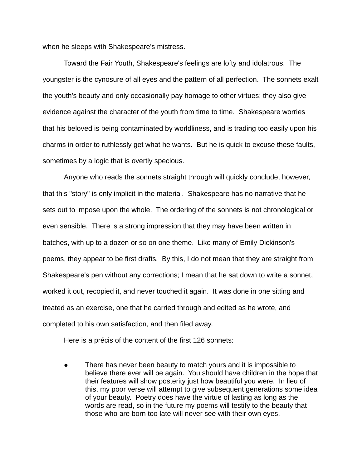when he sleeps with Shakespeare's mistress.

Toward the Fair Youth, Shakespeare's feelings are lofty and idolatrous. The youngster is the cynosure of all eyes and the pattern of all perfection. The sonnets exalt the youth's beauty and only occasionally pay homage to other virtues; they also give evidence against the character of the youth from time to time. Shakespeare worries that his beloved is being contaminated by worldliness, and is trading too easily upon his charms in order to ruthlessly get what he wants. But he is quick to excuse these faults, sometimes by a logic that is overtly specious.

Anyone who reads the sonnets straight through will quickly conclude, however, that this "story" is only implicit in the material. Shakespeare has no narrative that he sets out to impose upon the whole. The ordering of the sonnets is not chronological or even sensible. There is a strong impression that they may have been written in batches, with up to a dozen or so on one theme. Like many of Emily Dickinson's poems, they appear to be first drafts. By this, I do not mean that they are straight from Shakespeare's pen without any corrections; I mean that he sat down to write a sonnet, worked it out, recopied it, and never touched it again. It was done in one sitting and treated as an exercise, one that he carried through and edited as he wrote, and completed to his own satisfaction, and then filed away.

Here is a précis of the content of the first 126 sonnets:

There has never been beauty to match yours and it is impossible to believe there ever will be again. You should have children in the hope that their features will show posterity just how beautiful you were. In lieu of this, my poor verse will attempt to give subsequent generations some idea of your beauty. Poetry does have the virtue of lasting as long as the words are read, so in the future my poems will testify to the beauty that those who are born too late will never see with their own eyes.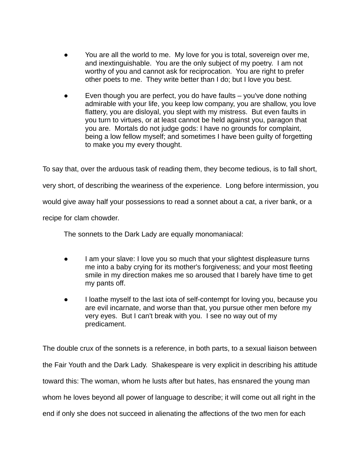- You are all the world to me. My love for you is total, sovereign over me, and inextinguishable. You are the only subject of my poetry. I am not worthy of you and cannot ask for reciprocation. You are right to prefer other poets to me. They write better than I do; but I love you best.
- Even though you are perfect, you do have faults  $-$  you've done nothing admirable with your life, you keep low company, you are shallow, you love flattery, you are disloyal, you slept with my mistress. But even faults in you turn to virtues, or at least cannot be held against you, paragon that you are. Mortals do not judge gods: I have no grounds for complaint, being a low fellow myself; and sometimes I have been guilty of forgetting to make you my every thought.

To say that, over the arduous task of reading them, they become tedious, is to fall short, very short, of describing the weariness of the experience. Long before intermission, you would give away half your possessions to read a sonnet about a cat, a river bank, or a recipe for clam chowder.

The sonnets to the Dark Lady are equally monomaniacal:

- I am your slave: I love you so much that your slightest displeasure turns me into a baby crying for its mother's forgiveness; and your most fleeting smile in my direction makes me so aroused that I barely have time to get my pants off.
- I loathe myself to the last iota of self-contempt for loving you, because you are evil incarnate, and worse than that, you pursue other men before my very eyes. But I can't break with you. I see no way out of my predicament.

The double crux of the sonnets is a reference, in both parts, to a sexual liaison between the Fair Youth and the Dark Lady. Shakespeare is very explicit in describing his attitude toward this: The woman, whom he lusts after but hates, has ensnared the young man whom he loves beyond all power of language to describe; it will come out all right in the end if only she does not succeed in alienating the affections of the two men for each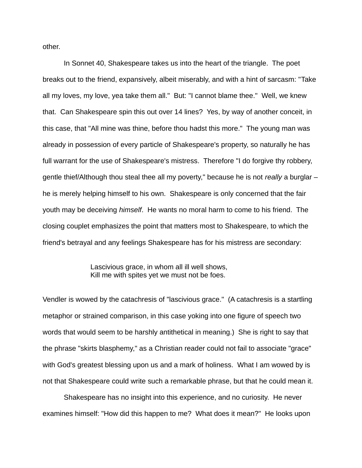other.

In Sonnet 40, Shakespeare takes us into the heart of the triangle. The poet breaks out to the friend, expansively, albeit miserably, and with a hint of sarcasm: "Take all my loves, my love, yea take them all." But: "I cannot blame thee." Well, we knew that. Can Shakespeare spin this out over 14 lines? Yes, by way of another conceit, in this case, that "All mine was thine, before thou hadst this more." The young man was already in possession of every particle of Shakespeare's property, so naturally he has full warrant for the use of Shakespeare's mistress. Therefore "I do forgive thy robbery, gentle thief/Although thou steal thee all my poverty," because he is not *really* a burglar – he is merely helping himself to his own. Shakespeare is only concerned that the fair youth may be deceiving *himself*. He wants no moral harm to come to his friend. The closing couplet emphasizes the point that matters most to Shakespeare, to which the friend's betrayal and any feelings Shakespeare has for his mistress are secondary:

> Lascivious grace, in whom all ill well shows, Kill me with spites yet we must not be foes.

Vendler is wowed by the catachresis of "lascivious grace." (A catachresis is a startling metaphor or strained comparison, in this case yoking into one figure of speech two words that would seem to be harshly antithetical in meaning.) She is right to say that the phrase "skirts blasphemy," as a Christian reader could not fail to associate "grace" with God's greatest blessing upon us and a mark of holiness. What I am wowed by is not that Shakespeare could write such a remarkable phrase, but that he could mean it.

Shakespeare has no insight into this experience, and no curiosity. He never examines himself: "How did this happen to me? What does it mean?" He looks upon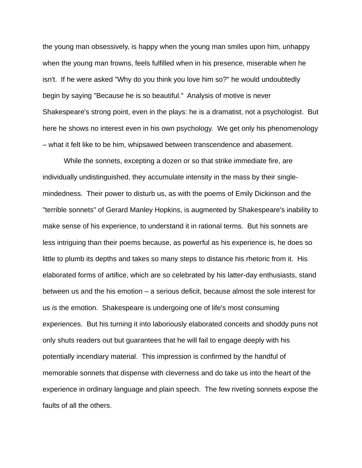the young man obsessively, is happy when the young man smiles upon him, unhappy when the young man frowns, feels fulfilled when in his presence, miserable when he isn't. If he were asked "Why do you think you love him so?" he would undoubtedly begin by saying "Because he is so beautiful." Analysis of motive is never Shakespeare's strong point, even in the plays: he is a dramatist, not a psychologist. But here he shows no interest even in his own psychology. We get only his phenomenology – what it felt like to be him, whipsawed between transcendence and abasement.

While the sonnets, excepting a dozen or so that strike immediate fire, are individually undistinguished, they accumulate intensity in the mass by their singlemindedness. Their power to disturb us, as with the poems of Emily Dickinson and the "terrible sonnets" of Gerard Manley Hopkins, is augmented by Shakespeare's inability to make sense of his experience, to understand it in rational terms. But his sonnets are less intriguing than their poems because, as powerful as his experience is, he does so little to plumb its depths and takes so many steps to distance his rhetoric from it. His elaborated forms of artifice, which are so celebrated by his latter-day enthusiasts, stand between us and the his emotion – a serious deficit, because almost the sole interest for us *is* the emotion. Shakespeare is undergoing one of life's most consuming experiences. But his turning it into laboriously elaborated conceits and shoddy puns not only shuts readers out but guarantees that he will fail to engage deeply with his potentially incendiary material. This impression is confirmed by the handful of memorable sonnets that dispense with cleverness and do take us into the heart of the experience in ordinary language and plain speech. The few riveting sonnets expose the faults of all the others.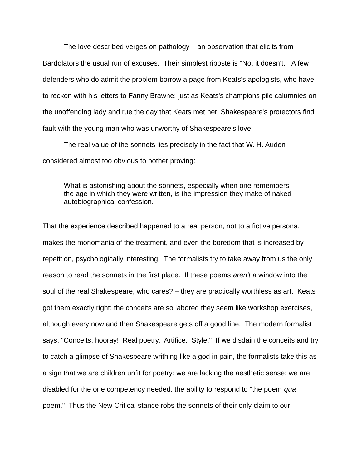The love described verges on pathology – an observation that elicits from Bardolators the usual run of excuses. Their simplest riposte is "No, it doesn't." A few defenders who do admit the problem borrow a page from Keats's apologists, who have to reckon with his letters to Fanny Brawne: just as Keats's champions pile calumnies on the unoffending lady and rue the day that Keats met her, Shakespeare's protectors find fault with the young man who was unworthy of Shakespeare's love.

The real value of the sonnets lies precisely in the fact that W. H. Auden considered almost too obvious to bother proving:

What is astonishing about the sonnets, especially when one remembers the age in which they were written, is the impression they make of naked autobiographical confession.

That the experience described happened to a real person, not to a fictive persona, makes the monomania of the treatment, and even the boredom that is increased by repetition, psychologically interesting. The formalists try to take away from us the only reason to read the sonnets in the first place. If these poems *aren't* a window into the soul of the real Shakespeare, who cares? – they are practically worthless as art. Keats got them exactly right: the conceits are so labored they seem like workshop exercises, although every now and then Shakespeare gets off a good line. The modern formalist says, "Conceits, hooray! Real poetry. Artifice. Style." If we disdain the conceits and try to catch a glimpse of Shakespeare writhing like a god in pain, the formalists take this as a sign that we are children unfit for poetry: we are lacking the aesthetic sense; we are disabled for the one competency needed, the ability to respond to "the poem *qua* poem." Thus the New Critical stance robs the sonnets of their only claim to our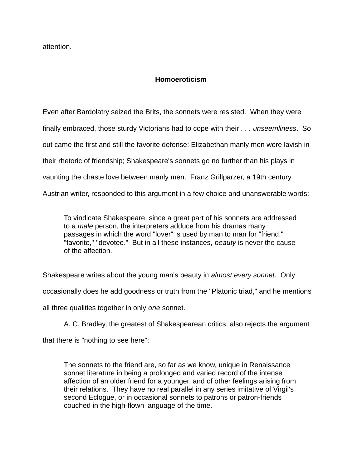attention.

## **Homoeroticism**

Even after Bardolatry seized the Brits, the sonnets were resisted. When they were finally embraced, those sturdy Victorians had to cope with their . . . *unseemliness*. So out came the first and still the favorite defense: Elizabethan manly men were lavish in their rhetoric of friendship; Shakespeare's sonnets go no further than his plays in vaunting the chaste love between manly men. Franz Grillparzer, a 19th century Austrian writer, responded to this argument in a few choice and unanswerable words:

To vindicate Shakespeare, since a great part of his sonnets are addressed to a *male* person, the interpreters adduce from his dramas many passages in which the word "lover" is used by man to man for "friend," "favorite," "devotee." But in all these instances, *beauty* is never the cause of the affection.

Shakespeare writes about the young man's beauty in *almost every sonnet*. Only occasionally does he add goodness or truth from the "Platonic triad," and he mentions all three qualities together in only *one* sonnet.

A. C. Bradley, the greatest of Shakespearean critics, also rejects the argument

that there is "nothing to see here":

The sonnets to the friend are, so far as we know, unique in Renaissance sonnet literature in being a prolonged and varied record of the intense affection of an older friend for a younger, and of other feelings arising from their relations. They have no real parallel in any series imitative of Virgil's second Eclogue, or in occasional sonnets to patrons or patron-friends couched in the high-flown language of the time.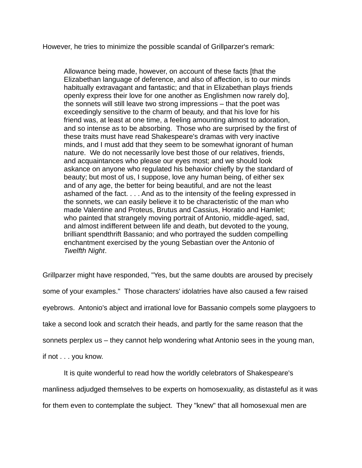However, he tries to minimize the possible scandal of Grillparzer's remark:

Allowance being made, however, on account of these facts [that the Elizabethan language of deference, and also of affection, is to our minds habitually extravagant and fantastic; and that in Elizabethan plays friends openly express their love for one another as Englishmen now rarely do], the sonnets will still leave two strong impressions – that the poet was exceedingly sensitive to the charm of beauty, and that his love for his friend was, at least at one time, a feeling amounting almost to adoration, and so intense as to be absorbing. Those who are surprised by the first of these traits must have read Shakespeare's dramas with very inactive minds, and I must add that they seem to be somewhat ignorant of human nature. We do not necessarily love best those of our relatives, friends, and acquaintances who please our eyes most; and we should look askance on anyone who regulated his behavior chiefly by the standard of beauty; but most of us, I suppose, love any human being, of either sex and of any age, the better for being beautiful, and are not the least ashamed of the fact. . . . And as to the intensity of the feeling expressed in the sonnets, we can easily believe it to be characteristic of the man who made Valentine and Proteus, Brutus and Cassius, Horatio and Hamlet; who painted that strangely moving portrait of Antonio, middle-aged, sad, and almost indifferent between life and death, but devoted to the young, brilliant spendthrift Bassanio; and who portrayed the sudden compelling enchantment exercised by the young Sebastian over the Antonio of *Twelfth Night*.

Grillparzer might have responded, "Yes, but the same doubts are aroused by precisely some of your examples." Those characters' idolatries have also caused a few raised eyebrows. Antonio's abject and irrational love for Bassanio compels some playgoers to take a second look and scratch their heads, and partly for the same reason that the sonnets perplex us – they cannot help wondering what Antonio sees in the young man, if not . . . you know.

It is quite wonderful to read how the worldly celebrators of Shakespeare's manliness adjudged themselves to be experts on homosexuality, as distasteful as it was for them even to contemplate the subject. They "knew" that all homosexual men are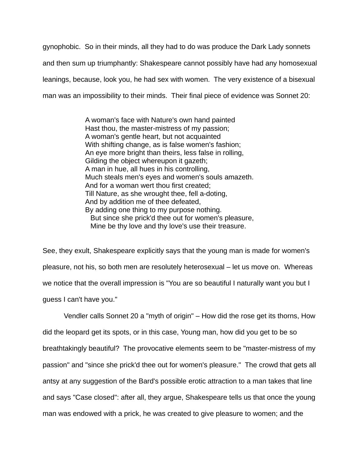gynophobic. So in their minds, all they had to do was produce the Dark Lady sonnets and then sum up triumphantly: Shakespeare cannot possibly have had any homosexual leanings, because, look you, he had sex with women. The very existence of a bisexual man was an impossibility to their minds. Their final piece of evidence was Sonnet 20:

> A woman's face with Nature's own hand painted Hast thou, the master-mistress of my passion; A woman's gentle heart, but not acquainted With shifting change, as is false women's fashion; An eye more bright than theirs, less false in rolling, Gilding the object whereupon it gazeth; A man in hue, all hues in his controlling, Much steals men's eyes and women's souls amazeth. And for a woman wert thou first created; Till Nature, as she wrought thee, fell a-doting, And by addition me of thee defeated, By adding one thing to my purpose nothing. But since she prick'd thee out for women's pleasure, Mine be thy love and thy love's use their treasure.

See, they exult, Shakespeare explicitly says that the young man is made for women's pleasure, not his, so both men are resolutely heterosexual – let us move on. Whereas we notice that the overall impression is "You are so beautiful I naturally want you but I guess I can't have you."

Vendler calls Sonnet 20 a "myth of origin" – How did the rose get its thorns, How did the leopard get its spots, or in this case, Young man, how did you get to be so breathtakingly beautiful? The provocative elements seem to be "master-mistress of my passion" and "since she prick'd thee out for women's pleasure." The crowd that gets all antsy at any suggestion of the Bard's possible erotic attraction to a man takes that line and says "Case closed": after all, they argue, Shakespeare tells us that once the young man was endowed with a prick, he was created to give pleasure to women; and the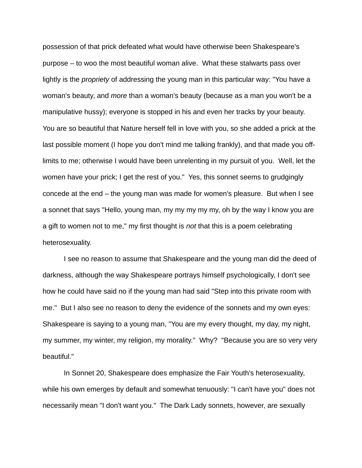possession of that prick defeated what would have otherwise been Shakespeare's purpose – to woo the most beautiful woman alive. What these stalwarts pass over lightly is the *propriety* of addressing the young man in this particular way: "You have a woman's beauty, and *more* than a woman's beauty (because as a man you won't be a manipulative hussy); everyone is stopped in his and even her tracks by your beauty. You are so beautiful that Nature herself fell in love with you, so she added a prick at the last possible moment (I hope you don't mind me talking frankly), and that made you offlimits to me; otherwise I would have been unrelenting in my pursuit of you. Well, let the women have your prick; I get the rest of you." Yes, this sonnet seems to grudgingly concede at the end – the young man was made for women's pleasure. But when I see a sonnet that says "Hello, young man, my my my my my, oh by the way I know you are a gift to women not to me," my first thought is *not* that this is a poem celebrating heterosexuality.

I see no reason to assume that Shakespeare and the young man did the deed of darkness, although the way Shakespeare portrays himself psychologically, I don't see how he could have said no if the young man had said "Step into this private room with me." But I also see no reason to deny the evidence of the sonnets and my own eyes: Shakespeare is saying to a young man, "You are my every thought, my day, my night, my summer, my winter, my religion, my morality." Why? "Because you are so very very beautiful."

In Sonnet 20, Shakespeare does emphasize the Fair Youth's heterosexuality, while his own emerges by default and somewhat tenuously: "I can't have you" does not necessarily mean "I don't want you." The Dark Lady sonnets, however, are sexually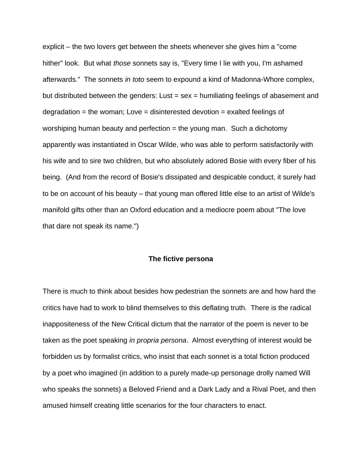explicit – the two lovers get between the sheets whenever she gives him a "come hither" look. But what *those* sonnets say is, "Every time I lie with you, I'm ashamed afterwards." The sonnets *in toto* seem to expound a kind of Madonna-Whore complex, but distributed between the genders: Lust  $=$  sex  $=$  humiliating feelings of abasement and degradation = the woman; Love = disinterested devotion = exalted feelings of worshiping human beauty and perfection  $=$  the young man. Such a dichotomy apparently was instantiated in Oscar Wilde, who was able to perform satisfactorily with his wife and to sire two children, but who absolutely adored Bosie with every fiber of his being. (And from the record of Bosie's dissipated and despicable conduct, it surely had to be on account of his beauty – that young man offered little else to an artist of Wilde's manifold gifts other than an Oxford education and a mediocre poem about "The love that dare not speak its name.")

#### **The fictive persona**

There is much to think about besides how pedestrian the sonnets are and how hard the critics have had to work to blind themselves to this deflating truth. There is the radical inappositeness of the New Critical dictum that the narrator of the poem is never to be taken as the poet speaking *in propria persona*. Almost everything of interest would be forbidden us by formalist critics, who insist that each sonnet is a total fiction produced by a poet who imagined (in addition to a purely made-up personage drolly named Will who speaks the sonnets) a Beloved Friend and a Dark Lady and a Rival Poet, and then amused himself creating little scenarios for the four characters to enact.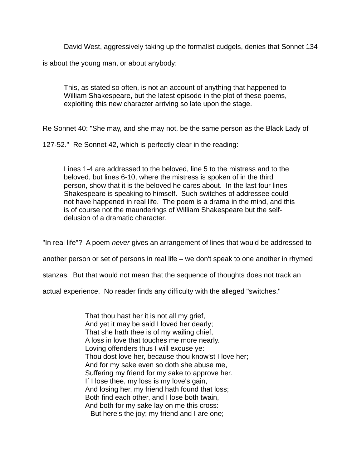David West, aggressively taking up the formalist cudgels, denies that Sonnet 134

is about the young man, or about anybody:

This, as stated so often, is not an account of anything that happened to William Shakespeare, but the latest episode in the plot of these poems, exploiting this new character arriving so late upon the stage.

Re Sonnet 40: "She may, and she may not, be the same person as the Black Lady of

127-52." Re Sonnet 42, which is perfectly clear in the reading:

Lines 1-4 are addressed to the beloved, line 5 to the mistress and to the beloved, but lines 6-10, where the mistress is spoken of in the third person, show that it is the beloved he cares about. In the last four lines Shakespeare is speaking to himself. Such switches of addressee could not have happened in real life. The poem is a drama in the mind, and this is of course not the maunderings of William Shakespeare but the selfdelusion of a dramatic character.

"In real life"? A poem *never* gives an arrangement of lines that would be addressed to

another person or set of persons in real life – we don't speak to one another in rhymed

stanzas. But that would not mean that the sequence of thoughts does not track an

actual experience. No reader finds any difficulty with the alleged "switches."

That thou hast her it is not all my grief, And yet it may be said I loved her dearly; That she hath thee is of my wailing chief, A loss in love that touches me more nearly. Loving offenders thus I will excuse ye: Thou dost love her, because thou know'st I love her; And for my sake even so doth she abuse me, Suffering my friend for my sake to approve her. If I lose thee, my loss is my love's gain, And losing her, my friend hath found that loss; Both find each other, and I lose both twain, And both for my sake lay on me this cross: But here's the joy; my friend and I are one;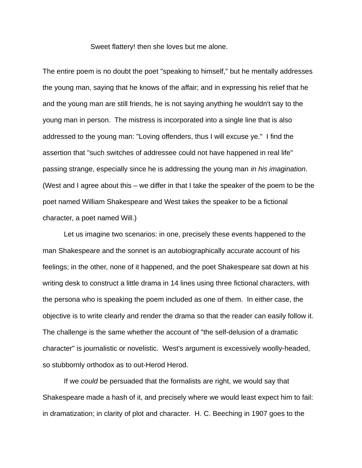Sweet flattery! then she loves but me alone.

The entire poem is no doubt the poet "speaking to himself," but he mentally addresses the young man, saying that he knows of the affair; and in expressing his relief that he and the young man are still friends, he is not saying anything he wouldn't say to the young man in person. The mistress is incorporated into a single line that is also addressed to the young man: "Loving offenders, thus I will excuse ye." I find the assertion that "such switches of addressee could not have happened in real life" passing strange, especially since he is addressing the young man *in his imagination*. (West and I agree about this – we differ in that I take the speaker of the poem to be the poet named William Shakespeare and West takes the speaker to be a fictional character, a poet named Will.)

Let us imagine two scenarios: in one, precisely these events happened to the man Shakespeare and the sonnet is an autobiographically accurate account of his feelings; in the other, none of it happened, and the poet Shakespeare sat down at his writing desk to construct a little drama in 14 lines using three fictional characters, with the persona who is speaking the poem included as one of them. In either case, the objective is to write clearly and render the drama so that the reader can easily follow it. The challenge is the same whether the account of "the self-delusion of a dramatic character" is journalistic or novelistic. West's argument is excessively woolly-headed, so stubbornly orthodox as to out-Herod Herod.

If we *could* be persuaded that the formalists are right, we would say that Shakespeare made a hash of it, and precisely where we would least expect him to fail: in dramatization; in clarity of plot and character. H. C. Beeching in 1907 goes to the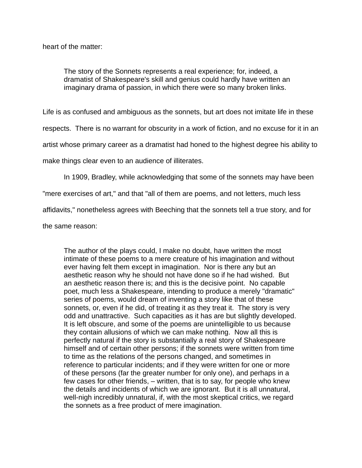heart of the matter:

The story of the Sonnets represents a real experience; for, indeed, a dramatist of Shakespeare's skill and genius could hardly have written an imaginary drama of passion, in which there were so many broken links.

Life is as confused and ambiguous as the sonnets, but art does not imitate life in these

respects. There is no warrant for obscurity in a work of fiction, and no excuse for it in an

artist whose primary career as a dramatist had honed to the highest degree his ability to

make things clear even to an audience of illiterates.

In 1909, Bradley, while acknowledging that some of the sonnets may have been

"mere exercises of art," and that "all of them are poems, and not letters, much less

affidavits," nonetheless agrees with Beeching that the sonnets tell a true story, and for

the same reason:

The author of the plays could, I make no doubt, have written the most intimate of these poems to a mere creature of his imagination and without ever having felt them except in imagination. Nor is there any but an aesthetic reason why he should not have done so if he had wished. But an aesthetic reason there is; and this is the decisive point. No capable poet, much less a Shakespeare, intending to produce a merely "dramatic" series of poems, would dream of inventing a story like that of these sonnets, or, even if he did, of treating it as they treat it. The story is very odd and unattractive. Such capacities as it has are but slightly developed. It is left obscure, and some of the poems are unintelligible to us because they contain allusions of which we can make nothing. Now all this is perfectly natural if the story is substantially a real story of Shakespeare himself and of certain other persons; if the sonnets were written from time to time as the relations of the persons changed, and sometimes in reference to particular incidents; and if they were written for one or more of these persons (far the greater number for only one), and perhaps in a few cases for other friends, – written, that is to say, for people who knew the details and incidents of which we are ignorant. But it is all unnatural, well-nigh incredibly unnatural, if, with the most skeptical critics, we regard the sonnets as a free product of mere imagination.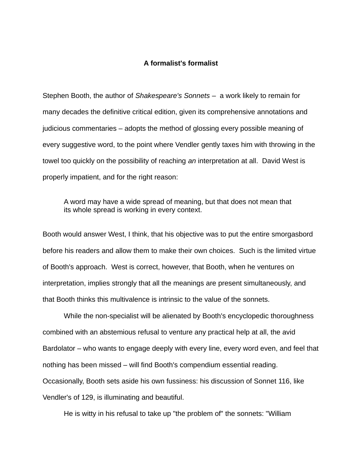### **A formalist's formalist**

Stephen Booth, the author of *Shakespeare's Sonnets* – a work likely to remain for many decades the definitive critical edition, given its comprehensive annotations and judicious commentaries – adopts the method of glossing every possible meaning of every suggestive word, to the point where Vendler gently taxes him with throwing in the towel too quickly on the possibility of reaching *an* interpretation at all. David West is properly impatient, and for the right reason:

A word may have a wide spread of meaning, but that does not mean that its whole spread is working in every context.

Booth would answer West, I think, that his objective was to put the entire smorgasbord before his readers and allow them to make their own choices. Such is the limited virtue of Booth's approach. West is correct, however, that Booth, when he ventures on interpretation, implies strongly that all the meanings are present simultaneously, and that Booth thinks this multivalence is intrinsic to the value of the sonnets.

While the non-specialist will be alienated by Booth's encyclopedic thoroughness combined with an abstemious refusal to venture any practical help at all, the avid Bardolator – who wants to engage deeply with every line, every word even, and feel that nothing has been missed – will find Booth's compendium essential reading. Occasionally, Booth sets aside his own fussiness: his discussion of Sonnet 116, like Vendler's of 129, is illuminating and beautiful.

He is witty in his refusal to take up "the problem of" the sonnets: "William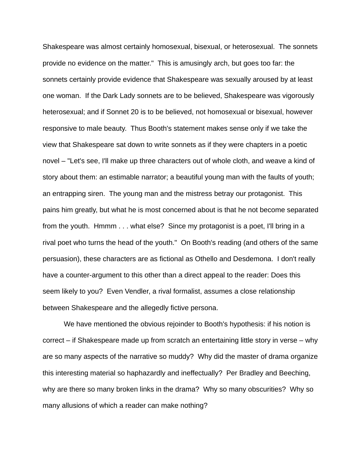Shakespeare was almost certainly homosexual, bisexual, or heterosexual. The sonnets provide no evidence on the matter." This is amusingly arch, but goes too far: the sonnets certainly provide evidence that Shakespeare was sexually aroused by at least one woman. If the Dark Lady sonnets are to be believed, Shakespeare was vigorously heterosexual; and if Sonnet 20 is to be believed, not homosexual or bisexual, however responsive to male beauty. Thus Booth's statement makes sense only if we take the view that Shakespeare sat down to write sonnets as if they were chapters in a poetic novel – "Let's see, I'll make up three characters out of whole cloth, and weave a kind of story about them: an estimable narrator; a beautiful young man with the faults of youth; an entrapping siren. The young man and the mistress betray our protagonist. This pains him greatly, but what he is most concerned about is that he not become separated from the youth. Hmmm . . . what else? Since my protagonist is a poet, I'll bring in a rival poet who turns the head of the youth." On Booth's reading (and others of the same persuasion), these characters are as fictional as Othello and Desdemona. I don't really have a counter-argument to this other than a direct appeal to the reader: Does this seem likely to you? Even Vendler, a rival formalist, assumes a close relationship between Shakespeare and the allegedly fictive persona.

We have mentioned the obvious rejoinder to Booth's hypothesis: if his notion is correct – if Shakespeare made up from scratch an entertaining little story in verse – why are so many aspects of the narrative so muddy? Why did the master of drama organize this interesting material so haphazardly and ineffectually? Per Bradley and Beeching, why are there so many broken links in the drama? Why so many obscurities? Why so many allusions of which a reader can make nothing?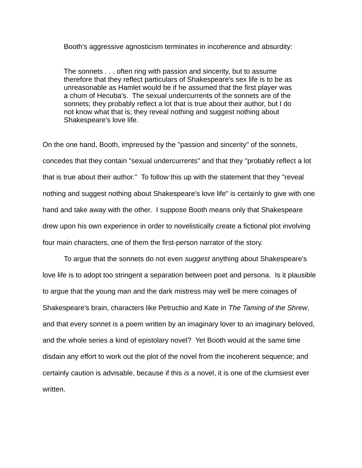#### Booth's aggressive agnosticism terminates in incoherence and absurdity:

The sonnets . . . often ring with passion and sincerity, but to assume therefore that they reflect particulars of Shakespeare's sex life is to be as unreasonable as Hamlet would be if he assumed that the first player was a chum of Hecuba's. The sexual undercurrents of the sonnets are of the sonnets; they probably reflect a lot that is true about their author, but I do not know what that is; they reveal nothing and suggest nothing about Shakespeare's love life.

On the one hand, Booth, impressed by the "passion and sincerity" of the sonnets, concedes that they contain "sexual undercurrents" and that they "probably reflect a lot that is true about their author." To follow this up with the statement that they "reveal nothing and suggest nothing about Shakespeare's love life" is certainly to give with one hand and take away with the other. I suppose Booth means only that Shakespeare drew upon his own experience in order to novelistically create a fictional plot involving four main characters, one of them the first-person narrator of the story.

To argue that the sonnets do not even *suggest* anything about Shakespeare's love life is to adopt too stringent a separation between poet and persona. Is it plausible to argue that the young man and the dark mistress may well be mere coinages of Shakespeare's brain, characters like Petruchio and Kate in *The Taming of the Shrew*, and that every sonnet is a poem written by an imaginary lover to an imaginary beloved, and the whole series a kind of epistolary novel? Yet Booth would at the same time disdain any effort to work out the plot of the novel from the incoherent sequence; and certainly caution is advisable, because if this *is* a novel, it is one of the clumsiest ever written.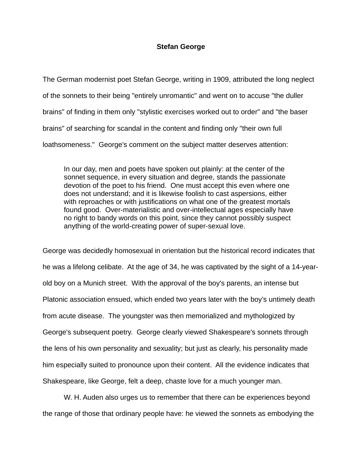## **Stefan George**

The German modernist poet Stefan George, writing in 1909, attributed the long neglect of the sonnets to their being "entirely unromantic" and went on to accuse "the duller brains" of finding in them only "stylistic exercises worked out to order" and "the baser brains" of searching for scandal in the content and finding only "their own full loathsomeness." George's comment on the subject matter deserves attention:

In our day, men and poets have spoken out plainly: at the center of the sonnet sequence, in every situation and degree, stands the passionate devotion of the poet to his friend. One must accept this even where one does not understand; and it is likewise foolish to cast aspersions, either with reproaches or with justifications on what one of the greatest mortals found good. Over-materialistic and over-intellectual ages especially have no right to bandy words on this point, since they cannot possibly suspect anything of the world-creating power of super-sexual love.

George was decidedly homosexual in orientation but the historical record indicates that he was a lifelong celibate. At the age of 34, he was captivated by the sight of a 14-yearold boy on a Munich street. With the approval of the boy's parents, an intense but Platonic association ensued, which ended two years later with the boy's untimely death from acute disease. The youngster was then memorialized and mythologized by George's subsequent poetry. George clearly viewed Shakespeare's sonnets through the lens of his own personality and sexuality; but just as clearly, his personality made him especially suited to pronounce upon their content. All the evidence indicates that Shakespeare, like George, felt a deep, chaste love for a much younger man.

W. H. Auden also urges us to remember that there can be experiences beyond the range of those that ordinary people have: he viewed the sonnets as embodying the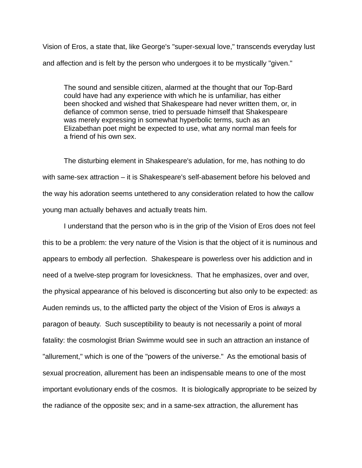Vision of Eros, a state that, like George's "super-sexual love," transcends everyday lust and affection and is felt by the person who undergoes it to be mystically "given."

The sound and sensible citizen, alarmed at the thought that our Top-Bard could have had any experience with which he is unfamiliar, has either been shocked and wished that Shakespeare had never written them, or, in defiance of common sense, tried to persuade himself that Shakespeare was merely expressing in somewhat hyperbolic terms, such as an Elizabethan poet might be expected to use, what any normal man feels for a friend of his own sex.

The disturbing element in Shakespeare's adulation, for me, has nothing to do with same-sex attraction – it is Shakespeare's self-abasement before his beloved and the way his adoration seems untethered to any consideration related to how the callow young man actually behaves and actually treats him.

I understand that the person who is in the grip of the Vision of Eros does not feel this to be a problem: the very nature of the Vision is that the object of it is numinous and appears to embody all perfection. Shakespeare is powerless over his addiction and in need of a twelve-step program for lovesickness. That he emphasizes, over and over, the physical appearance of his beloved is disconcerting but also only to be expected: as Auden reminds us, to the afflicted party the object of the Vision of Eros is *always* a paragon of beauty. Such susceptibility to beauty is not necessarily a point of moral fatality: the cosmologist Brian Swimme would see in such an attraction an instance of "allurement," which is one of the "powers of the universe." As the emotional basis of sexual procreation, allurement has been an indispensable means to one of the most important evolutionary ends of the cosmos. It is biologically appropriate to be seized by the radiance of the opposite sex; and in a same-sex attraction, the allurement has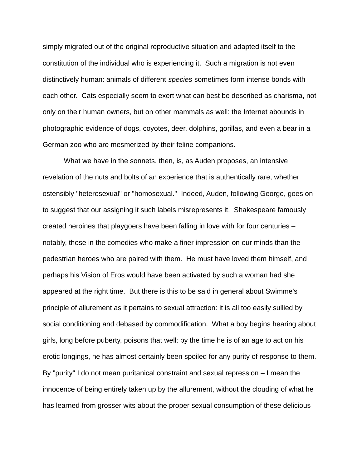simply migrated out of the original reproductive situation and adapted itself to the constitution of the individual who is experiencing it. Such a migration is not even distinctively human: animals of different *species* sometimes form intense bonds with each other. Cats especially seem to exert what can best be described as charisma, not only on their human owners, but on other mammals as well: the Internet abounds in photographic evidence of dogs, coyotes, deer, dolphins, gorillas, and even a bear in a German zoo who are mesmerized by their feline companions.

What we have in the sonnets, then, is, as Auden proposes, an intensive revelation of the nuts and bolts of an experience that is authentically rare, whether ostensibly "heterosexual" or "homosexual." Indeed, Auden, following George, goes on to suggest that our assigning it such labels misrepresents it. Shakespeare famously created heroines that playgoers have been falling in love with for four centuries – notably, those in the comedies who make a finer impression on our minds than the pedestrian heroes who are paired with them. He must have loved them himself, and perhaps his Vision of Eros would have been activated by such a woman had she appeared at the right time. But there is this to be said in general about Swimme's principle of allurement as it pertains to sexual attraction: it is all too easily sullied by social conditioning and debased by commodification. What a boy begins hearing about girls, long before puberty, poisons that well: by the time he is of an age to act on his erotic longings, he has almost certainly been spoiled for any purity of response to them. By "purity" I do not mean puritanical constraint and sexual repression – I mean the innocence of being entirely taken up by the allurement, without the clouding of what he has learned from grosser wits about the proper sexual consumption of these delicious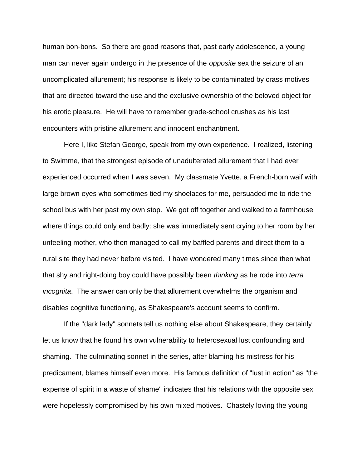human bon-bons. So there are good reasons that, past early adolescence, a young man can never again undergo in the presence of the *opposite* sex the seizure of an uncomplicated allurement; his response is likely to be contaminated by crass motives that are directed toward the use and the exclusive ownership of the beloved object for his erotic pleasure. He will have to remember grade-school crushes as his last encounters with pristine allurement and innocent enchantment.

Here I, like Stefan George, speak from my own experience. I realized, listening to Swimme, that the strongest episode of unadulterated allurement that I had ever experienced occurred when I was seven. My classmate Yvette, a French-born waif with large brown eyes who sometimes tied my shoelaces for me, persuaded me to ride the school bus with her past my own stop. We got off together and walked to a farmhouse where things could only end badly: she was immediately sent crying to her room by her unfeeling mother, who then managed to call my baffled parents and direct them to a rural site they had never before visited. I have wondered many times since then what that shy and right-doing boy could have possibly been *thinking* as he rode into *terra incognita*. The answer can only be that allurement overwhelms the organism and disables cognitive functioning, as Shakespeare's account seems to confirm.

If the "dark lady" sonnets tell us nothing else about Shakespeare, they certainly let us know that he found his own vulnerability to heterosexual lust confounding and shaming. The culminating sonnet in the series, after blaming his mistress for his predicament, blames himself even more. His famous definition of "lust in action" as "the expense of spirit in a waste of shame" indicates that his relations with the opposite sex were hopelessly compromised by his own mixed motives. Chastely loving the young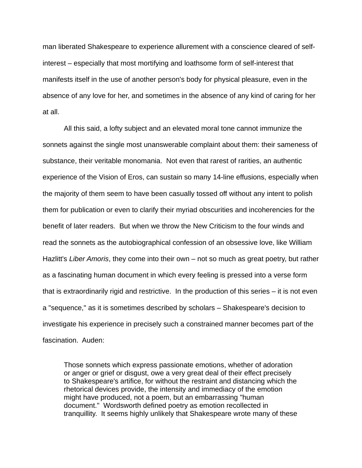man liberated Shakespeare to experience allurement with a conscience cleared of selfinterest – especially that most mortifying and loathsome form of self-interest that manifests itself in the use of another person's body for physical pleasure, even in the absence of any love for her, and sometimes in the absence of any kind of caring for her at all.

All this said, a lofty subject and an elevated moral tone cannot immunize the sonnets against the single most unanswerable complaint about them: their sameness of substance, their veritable monomania. Not even that rarest of rarities, an authentic experience of the Vision of Eros, can sustain so many 14-line effusions, especially when the majority of them seem to have been casually tossed off without any intent to polish them for publication or even to clarify their myriad obscurities and incoherencies for the benefit of later readers. But when we throw the New Criticism to the four winds and read the sonnets as the autobiographical confession of an obsessive love, like William Hazlitt's *Liber Amoris*, they come into their own – not so much as great poetry, but rather as a fascinating human document in which every feeling is pressed into a verse form that is extraordinarily rigid and restrictive. In the production of this series – it is not even a "sequence," as it is sometimes described by scholars – Shakespeare's decision to investigate his experience in precisely such a constrained manner becomes part of the fascination. Auden:

Those sonnets which express passionate emotions, whether of adoration or anger or grief or disgust, owe a very great deal of their effect precisely to Shakespeare's artifice, for without the restraint and distancing which the rhetorical devices provide, the intensity and immediacy of the emotion might have produced, not a poem, but an embarrassing "human document." Wordsworth defined poetry as emotion recollected in tranquillity. It seems highly unlikely that Shakespeare wrote many of these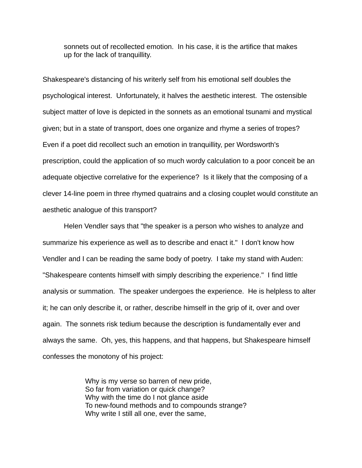sonnets out of recollected emotion. In his case, it is the artifice that makes up for the lack of tranquillity.

Shakespeare's distancing of his writerly self from his emotional self doubles the psychological interest. Unfortunately, it halves the aesthetic interest. The ostensible subject matter of love is depicted in the sonnets as an emotional tsunami and mystical given; but in a state of transport, does one organize and rhyme a series of tropes? Even if a poet did recollect such an emotion in tranquillity, per Wordsworth's prescription, could the application of so much wordy calculation to a poor conceit be an adequate objective correlative for the experience? Is it likely that the composing of a clever 14-line poem in three rhymed quatrains and a closing couplet would constitute an aesthetic analogue of this transport?

Helen Vendler says that "the speaker is a person who wishes to analyze and summarize his experience as well as to describe and enact it." I don't know how Vendler and I can be reading the same body of poetry. I take my stand with Auden: "Shakespeare contents himself with simply describing the experience." I find little analysis or summation. The speaker undergoes the experience. He is helpless to alter it; he can only describe it, or rather, describe himself in the grip of it, over and over again. The sonnets risk tedium because the description is fundamentally ever and always the same. Oh, yes, this happens, and that happens, but Shakespeare himself confesses the monotony of his project:

> Why is my verse so barren of new pride, So far from variation or quick change? Why with the time do I not glance aside To new-found methods and to compounds strange? Why write I still all one, ever the same,